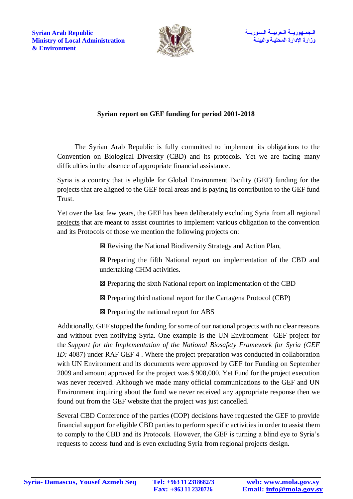

## **Syrian report on GEF funding for period 2001-2018**

The Syrian Arab Republic is fully committed to implement its obligations to the Convention on Biological Diversity (CBD) and its protocols. Yet we are facing many difficulties in the absence of appropriate financial assistance.

Syria is a country that is eligible for Global Environment Facility (GEF) funding for the projects that are aligned to the GEF focal areas and is paying its contribution to the GEF fund Trust.

Yet over the last few years, the GEF has been deliberately excluding Syria from all regional projects that are meant to assist countries to implement various obligation to the convention and its Protocols of those we mention the following projects on:

Revising the National Biodiversity Strategy and Action Plan,

 Preparing the fifth National report on implementation of the CBD and undertaking CHM activities.

Preparing the sixth National report on implementation of the CBD

Preparing third national report for the Cartagena Protocol (CBP)

 $\boxtimes$  Preparing the national report for ABS

Additionally, GEF stopped the funding for some of our national projects with no clear reasons and without even notifying Syria. One example is the UN Environment- GEF project for the *Support for the Implementation of the National Biosafety Framework for Syria (GEF ID:* 4087) under RAF GEF 4. Where the project preparation was conducted in collaboration with UN Environment and its documents were approved by GEF for Funding on September 2009 and amount approved for the project was \$ 908,000. Yet Fund for the project execution was never received. Although we made many official communications to the GEF and UN Environment inquiring about the fund we never received any appropriate response then we found out from the GEF website that the project was just cancelled.

Several CBD Conference of the parties (COP) decisions have requested the GEF to provide financial support for eligible CBD parties to perform specific activities in order to assist them to comply to the CBD and its Protocols. However, the GEF is turning a blind eye to Syria's requests to access fund and is even excluding Syria from regional projects design.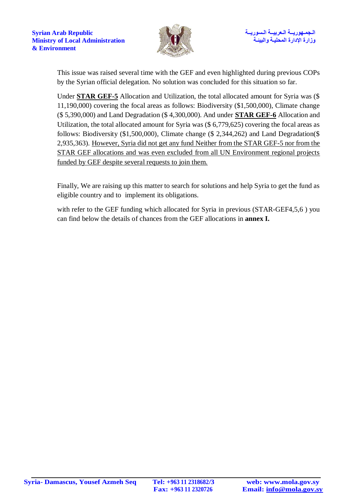

This issue was raised several time with the GEF and even highlighted during previous COPs by the Syrian official delegation. No solution was concluded for this situation so far.

Under **STAR GEF-5** Allocation and Utilization, the total allocated amount for Syria was (\$ 11,190,000) covering the focal areas as follows: Biodiversity (\$1,500,000), Climate change (\$ 5,390,000) and Land Degradation (\$ 4,300,000). And under **STAR GEF-6** Allocation and Utilization, the total allocated amount for Syria was (\$ 6,779,625) covering the focal areas as follows: Biodiversity (\$1,500,000), Climate change (\$ 2,344,262) and Land Degradation(\$ 2,935,363). However, Syria did not get any fund Neither from the STAR GEF-5 nor from the STAR GEF allocations and was even excluded from all UN Environment regional projects funded by GEF despite several requests to join them.

Finally, We are raising up this matter to search for solutions and help Syria to get the fund as eligible country and to implement its obligations.

with refer to the GEF funding which allocated for Syria in previous (STAR-GEF4,5,6) you can find below the details of chances from the GEF allocations in **annex I.**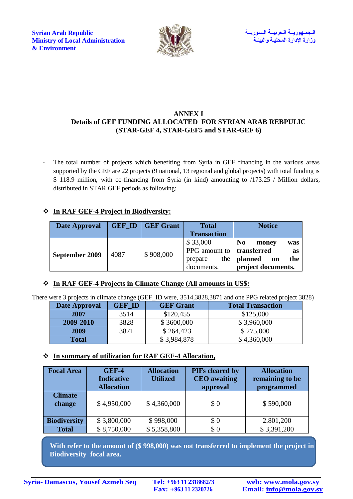الـجمـهوريــة الـعربيــة الـسوريــة الـسوريــة الـسوريــة الـسوريــة الـسوريــة الـسوريــة الـسوريــة الـسوريـ<br>وزارة الإدارة المحلسة والنسبة السنسة للسنسة المستوى المستوى Ministry of Local Administration **Ministry of Local Administration & Environment**



#### **ANNEX I Details of GEF FUNDING ALLOCATED FOR SYRIAN ARAB REBPULIC (STAR-GEF 4, STAR-GEF5 and STAR-GEF 6)**

The total number of projects which benefiting from Syria in GEF financing in the various areas supported by the GEF are 22 projects (9 national, 13 regional and global projects) with total funding is \$ 118.9 million, with co-financing from Syria (in kind) amounting to /173.25 / Million dollars, distributed in STAR GEF periods as following:

# **In RAF GEF-4 Project in Biodiversity:**

| <b>Date Approval</b> |      | <b>GEF ID   GEF Grant</b> | <b>Total</b>                | <b>Notice</b>                  |
|----------------------|------|---------------------------|-----------------------------|--------------------------------|
|                      |      |                           | <b>Transaction</b>          |                                |
| September 2009       | 4087 | \$908,000                 | \$33,000                    | N <sub>0</sub><br>money<br>was |
|                      |      |                           | PPG amount to   transferred | as                             |
|                      |      |                           | prepare                     | the $ $ planned<br>the<br>on   |
|                      |      |                           | documents.                  | project documents.             |

### **In [RAF GEF-4 Projects in Climate Change \(All amounts in US\\$:](http://www.thegef.org/country/syria#block-wb-country-star4-project-cc)**

There were 3 projects in climate change (GEF\_ID were, 3514,3828,3871 and one PPG related project 3828)

| Date Approval | <b>GEF ID</b> | <b>GEF Grant</b> | <b>Total Transaction</b> |
|---------------|---------------|------------------|--------------------------|
| 2007          | 3514          | \$120,455        | \$125,000                |
| 2009-2010     | 3828          | \$3600,000       | \$3,960,000              |
| 2009          | 3871          | \$264,423        | \$275,000                |
| <b>Total</b>  |               | \$3,984,878      | \$4,360,000              |

### **In summary of utilization for RAF GEF-4 Allocation,**

| <b>Focal Area</b>        | <b>GEF-4</b><br><b>Indicative</b><br><b>Allocation</b> | <b>Allocation</b><br><b>Utilized</b> | PIFs cleared by<br><b>CEO</b> awaiting<br>approval | <b>Allocation</b><br>remaining to be<br>programmed |
|--------------------------|--------------------------------------------------------|--------------------------------------|----------------------------------------------------|----------------------------------------------------|
| <b>Climate</b><br>change | \$4,950,000                                            | \$4,360,000                          | \$0                                                | \$590,000                                          |
| <b>Biodiversity</b>      | \$3,800,000                                            | \$998,000                            | \$0                                                | 2.801,200                                          |
| <b>Total</b>             | \$8,750,000                                            | \$5,358,800                          | \$0                                                | \$3,391,200                                        |

 **With refer to the amount of (\$ 998,000) was not transferred to implement the project in Biodiversity focal area.**